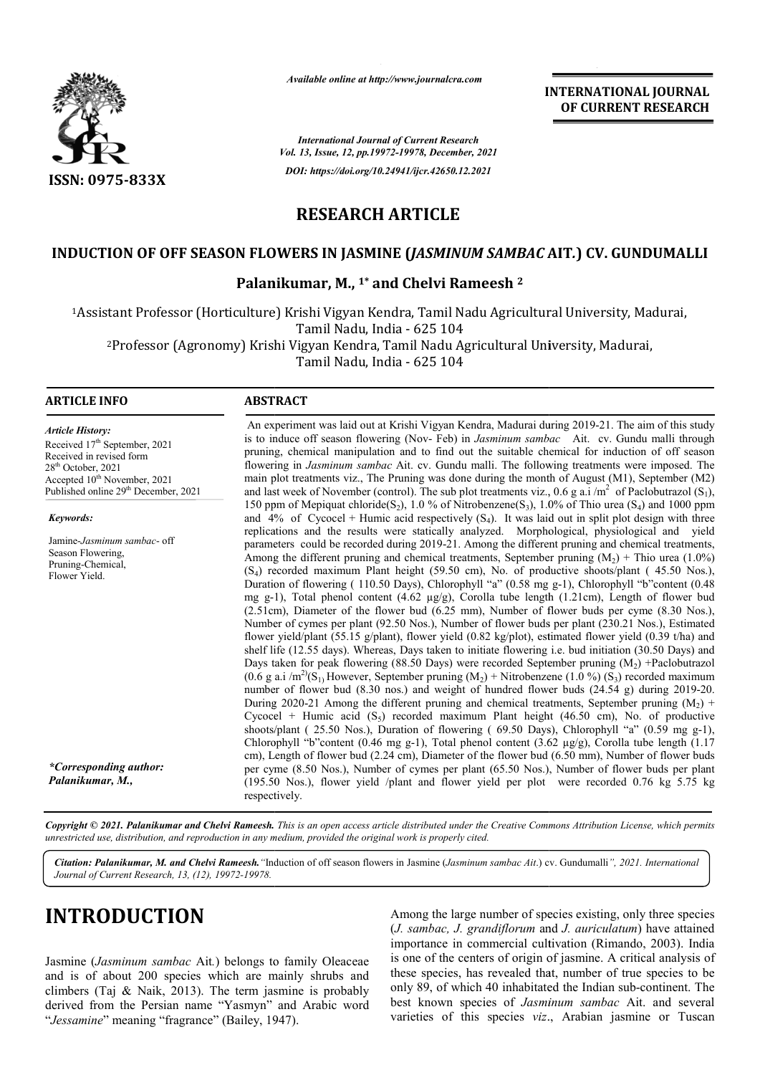

*Available online at http://www.journalcra.com*

**INTERNATIONAL JOURNAL OF CURRENT RESEARCH**

*International Journal of Current Research Vol. 13, Issue, 12, pp.19972-19978, December, 2021 DOI: https://doi.org/10.24941/ijcr.42650.12.2021*

# **RESEARCH ARTICLE**

## **INDUCTION OF OFF SEASON FLOWERS IN JASMINE (** *JASMINUM SAMBAC* **AIT** *.***) CV. GUNDUMALLI**

# **Palanikumar, M., 1\* and Chelvi Rameesh 2**

1Assistant Professor (Horticulture) Krishi Vigyan Kendra, Tamil Nadu Agricultural University, Madurai, Assistant Tamil Nadu, India - 625 104 2Professor (Agronomy) Krishi Vigyan Kendra, Tamil Nadu Agricultural University, Madurai, Professor Tamil Nadu, India - 625 104 Assistant Professor (Horticulture) I<br><sup>2</sup>Professor (Agronomy) Krishi

### **ARTICLE INFO ABSTRACT**

*Article History: ArticleHistory:Article History:* Received 17<sup>th</sup> September, 2021 Received in revised form Received in revised form Received in revised form  $28<sup>th</sup>$  October, 2021 Accepted  $10^{\text{th}}$  November, 2021 Published online 29<sup>th</sup> December, 2021

*Keywords:*

Jamine-*Jasminum sambac*- off Season Flowering, Pruning-Chemical, Flower Yield.

*\*Corresponding author: Palanikumar, M.,*

An experiment was laid out at Krishi Vigyan Kendra, Madurai during 2019-21. The aim of this study is to induce off season flowering (Nov- Feb) in *Jasminum sambac* Ait. cv. Gundu malli through pruning, chemical manipulation and to find out the suitable chemical for induction of off season flowering in *Jasminum sambac* Ait. cv. Gundu malli. The following treatments were imposed. The main plot treatments viz., The Pruning was done during the month of August (M1), September (M2) and last week of November (control). The sub plot treatments viz., 0.6 g a.i /m 150 ppm of Mepiquat chloride(S<sub>2</sub>), 1.0 % of Nitrobenzene(S<sub>3</sub>), 1.0% of Thio urea (S<sub>4</sub>) and 1000 ppm and  $4\%$  of Cycocel + Humic acid respectively (S<sub>4</sub>). It was laid out in split plot design with three replications and the results were statically analyzed. Morphological, physiological and yield parameters parameters could be recorded during 2019-21. Among the different pruning and chemical treatments, Among the different pruning and chemical treatments, September pruning (M  $(S_4)$  recorded maximum Plant height (59.50 cm), No. of productive shoots/plant (45.50 Nos.), Duration of flowering (110.50 Days), Chlorophyll "a" (0.58 mg g-1), Chlorophyll "b"content (0.48 mg g-1), Total phenol content  $(4.62 \mu g/g)$ , Corolla tube length  $(1.21 \text{cm})$ , Length of flower bud (2.51cm), Diameter of the flower bud (6.25 mm), Number of flower buds per cyme (8.30 Nos.), Number of cymes per plant (92.50 Nos.), Number of flower buds per plant (230.21 Nos.), Estimated flower yield/plant (55.15 g/plant), flower yield (0.82 kg/plot), estimated flower yield (0.39 t/ha) and shelf life (12.55 days). Whereas, Days taken to initiate flowering i.e. bud initiation (30.50 Days) and Days taken for peak flowering (88.50 Days) were recorded September pruning (M (0.6 g a.i /m<sup>2</sup>)(S<sub>1)</sub> However, September pruning (M<sub>2</sub>) + Nitrobenzene (1.0 %) (S<sub>3</sub>) recorded maximum number of flower bud (8.30 nos.) and weight of hundred flower buds (24.54 g) during 2019-20. During 2020-21 Among the different pruning and chemical treatments, September pruning  $(M_2)$  + Cycocel + Humic acid  $(S_5)$  recorded maximum Plant height (46.50 cm), No. of productive Cycocel + Humic acid  $(S_5)$  recorded maximum Plant height (46.50 cm), No. of productive shoots/plant (25.50 Nos.), Duration of flowering (69.50 Days), Chlorophyll "a" (0.59 mg g-1), Chlorophyll "b"content (0.46 mg g-1), Total phenol content (3.62  $\mu$ g/g), Corolla tube length (1.17 cm), Length of flower bud (2.24 cm), Diameter of the flower bud (6.50 mm), Number of flower buds per cyme (8.50 Nos.), N Number of cymes per plant (65.50 Nos.), Number of flower buds per plant (195.50 Nos.), flower yield /plant and flower yield per plot were recorded 0.76 kg 5.75 kg respectively. mg g-1), Total phenol content (4.62  $\mu$ g/g), Corolla tube length (1.21cm), Length of flower bud (2.51cm), Diameter of the flower bud (6.25 mm), Number of flower buds per cyme (8.30 Nos.), Number of cymes per plant (92.50 pruning, chemical manipulation and to find out the suitable chemical for induction of off season flowering in *Jasminum sambac* Ait. cv. Gundu malli. The following treatments were imposed. The main plot treatments viz., T tively (S<sub>4</sub>). It was laid out in split plot design with three<br>ly analyzed. Morphological, physiological and yield<br>21. Among the different pruning and chemical treatments,<br>treatments, September pruning (M<sub>2</sub>) + Thio urea Chlorophyll "b"content (0.46 mg g-1), Total phenol content (3.62  $\mu$ g/g), Corolla tube length (1 cm), Length of flower bud (2.24 cm), Diameter of the flower bud (6.50 mm), Number of flower buds per cyme (8.50 Nos.), Numb

Copyright © 2021. Palanikumar and Chelvi Rameesh. This is an open access article distributed under the Creative Commons Attribution License, which permits *unrestricted use, distribution, and reproduction in any medium, provided the original work is properly cited.*

*Citation: Palanikumar, M. and Chelvi Rameesh."*Induction of off season flowers in Jasmine (*Jasminum sambac Ait*.) cv. Gundumalli Gundumalli*", 2021. InternationalJournal of Current Research, 13, (12), 19972-19978.*

# **INTRODUCTION**

Jasmine (*Jasminum sambac* Ait*.*) belongs to family Oleaceae and is of about 200 species which are mainly shrubs and climbers (Taj & Naik, 2013). The term jasmine is probably derived from the Persian name "Yasmyn" and Arabic word "*Jessamine*" meaning "fragrance" (Bailey, 1947).

Among the large number of species existing, only three species (*J. sambac, J. grandiflorum* and *J. auriculatum*) have attained importance in commercial cultivation (Rimando, 2003). India is one of the centers of origin of jasmine. A critical analysis of these species, has revealed that, number of true species to be only 89, of which 40 inhabitated the Indian sub best known species of *Jasminum sambac* Ait. and several varieties of this species *viz*., Arabian jasmine or Tuscan portance in commercial cultivation (Rimando, 2003). India one of the centers of origin of jasmine. A critical analysis of see species, has revealed that, number of true species to be lly 89, of which 40 inhabitated the Ind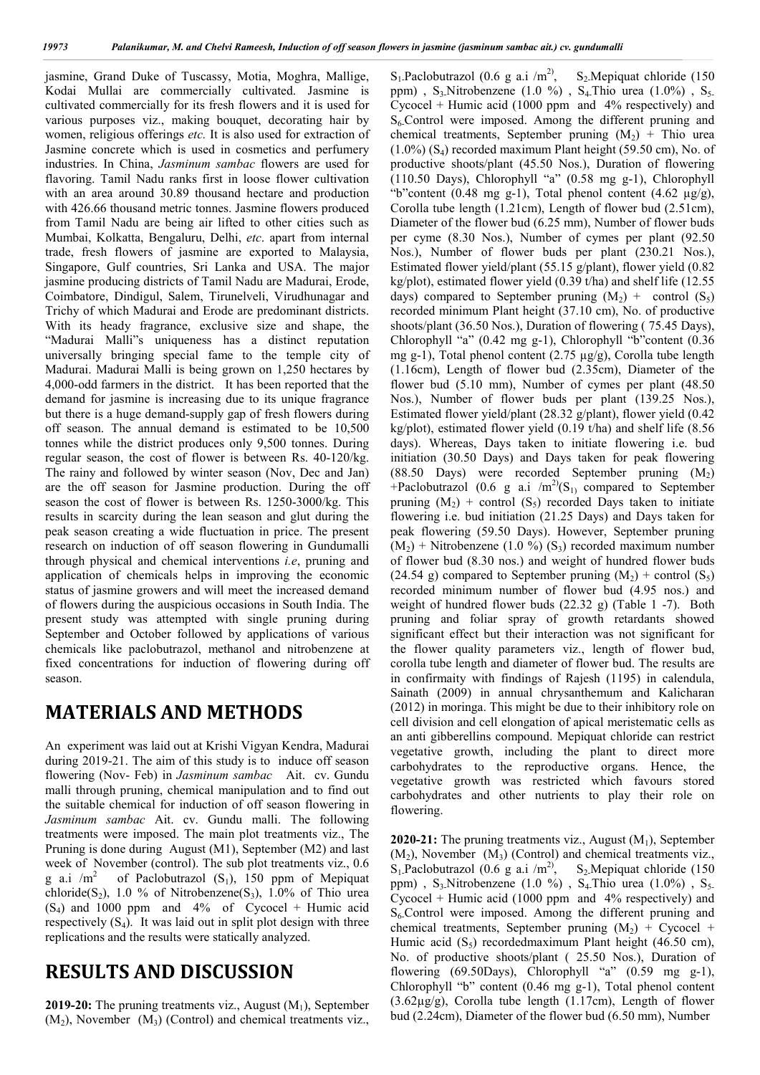jasmine, Grand Duke of Tuscassy, Motia, Moghra, Mallige, Kodai Mullai are commercially cultivated. Jasmine is cultivated commercially for its fresh flowers and it is used for various purposes viz., making bouquet, decorating hair by women, religious offerings *etc.* It is also used for extraction of Jasmine concrete which is used in cosmetics and perfumery industries. In China, *Jasminum sambac* flowers are used for flavoring. Tamil Nadu ranks first in loose flower cultivation with an area around 30.89 thousand hectare and production with 426.66 thousand metric tonnes. Jasmine flowers produced from Tamil Nadu are being air lifted to other cities such as Mumbai, Kolkatta, Bengaluru, Delhi, *etc*. apart from internal trade, fresh flowers of jasmine are exported to Malaysia, Singapore, Gulf countries, Sri Lanka and USA. The major jasmine producing districts of Tamil Nadu are Madurai, Erode, Coimbatore, Dindigul, Salem, Tirunelveli, Virudhunagar and Trichy of which Madurai and Erode are predominant districts. With its heady fragrance, exclusive size and shape, the "Madurai Malli"s uniqueness has a distinct reputation universally bringing special fame to the temple city of Madurai. Madurai Malli is being grown on 1,250 hectares by 4,000-odd farmers in the district. It has been reported that the demand for jasmine is increasing due to its unique fragrance but there is a huge demand-supply gap of fresh flowers during off season. The annual demand is estimated to be 10,500 tonnes while the district produces only 9,500 tonnes. During regular season, the cost of flower is between Rs. 40-120/kg. The rainy and followed by winter season (Nov, Dec and Jan) are the off season for Jasmine production. During the off season the cost of flower is between Rs. 1250-3000/kg. This results in scarcity during the lean season and glut during the peak season creating a wide fluctuation in price. The present research on induction of off season flowering in Gundumalli through physical and chemical interventions *i.e*, pruning and application of chemicals helps in improving the economic status of jasmine growers and will meet the increased demand of flowers during the auspicious occasions in South India. The present study was attempted with single pruning during September and October followed by applications of various chemicals like paclobutrazol, methanol and nitrobenzene at fixed concentrations for induction of flowering during off season.

# **MATERIALS AND METHODS**

An experiment was laid out at Krishi Vigyan Kendra, Madurai during 2019-21. The aim of this study is to induce off season flowering (Nov- Feb) in *Jasminum sambac* Ait. cv. Gundu malli through pruning, chemical manipulation and to find out the suitable chemical for induction of off season flowering in *Jasminum sambac* Ait. cv. Gundu malli. The following treatments were imposed. The main plot treatments viz., The Pruning is done during August (M1), September (M2) and last week of November (control). The sub plot treatments viz., 0.6 g a.i  $/m^2$  of Paclobutrazol (S<sub>1</sub>), 150 ppm of Mepiquat chloride(S<sub>2</sub>), 1.0 % of Nitrobenzene(S<sub>3</sub>), 1.0% of Thio urea  $(S_4)$  and 1000 ppm and 4% of Cycocel + Humic acid respectively  $(S_4)$ . It was laid out in split plot design with three replications and the results were statically analyzed.

# **RESULTS AND DISCUSSION**

**2019-20:** The pruning treatments viz., August (M<sub>1</sub>), September  $(M_2)$ , November  $(M_3)$  (Control) and chemical treatments viz.,

 $S_1$ -Paclobutrazol (0.6 g a.i /m<sup>2)</sup>, S<sub>2</sub>. Mepiquat chloride (150) ppm) ,  $S_3$  Nitrobenzene (1.0 %) ,  $S_4$  Thio urea (1.0%) ,  $S_5$ . Cycocel + Humic acid (1000 ppm and  $4\%$  respectively) and  $S<sub>6</sub>$ Control were imposed. Among the different pruning and chemical treatments, September pruning  $(M<sub>2</sub>)$  + Thio urea  $(1.0\%)$  (S<sub>4</sub>) recorded maximum Plant height (59.50 cm), No. of productive shoots/plant (45.50 Nos.), Duration of flowering (110.50 Days), Chlorophyll "a" (0.58 mg g-1), Chlorophyll "b"content (0.48 mg g-1), Total phenol content (4.62  $\mu$ g/g), Corolla tube length (1.21cm), Length of flower bud (2.51cm), Diameter of the flower bud (6.25 mm), Number of flower buds per cyme (8.30 Nos.), Number of cymes per plant (92.50 Nos.), Number of flower buds per plant (230.21 Nos.), Estimated flower yield/plant (55.15 g/plant), flower yield (0.82 kg/plot), estimated flower yield (0.39 t/ha) and shelf life (12.55 days) compared to September pruning  $(M_2)$  + control  $(S_5)$ recorded minimum Plant height (37.10 cm), No. of productive shoots/plant (36.50 Nos.), Duration of flowering ( 75.45 Days), Chlorophyll "a" (0.42 mg g-1), Chlorophyll "b"content (0.36 mg g-1), Total phenol content (2.75 µg/g), Corolla tube length (1.16cm), Length of flower bud (2.35cm), Diameter of the flower bud (5.10 mm), Number of cymes per plant (48.50 Nos.), Number of flower buds per plant (139.25 Nos.), Estimated flower yield/plant (28.32 g/plant), flower yield (0.42 kg/plot), estimated flower yield (0.19 t/ha) and shelf life (8.56 days). Whereas, Days taken to initiate flowering i.e. bud initiation (30.50 Days) and Days taken for peak flowering (88.50 Days) were recorded September pruning  $(M_2)$ +Paclobutrazol (0.6 g a.i /m<sup>2</sup>/ $(S_1)$  compared to September pruning  $(M_2)$  + control  $(S_5)$  recorded Days taken to initiate flowering i.e. bud initiation (21.25 Days) and Days taken for peak flowering (59.50 Days). However, September pruning  $(M_2)$  + Nitrobenzene (1.0 %) (S<sub>3</sub>) recorded maximum number of flower bud (8.30 nos.) and weight of hundred flower buds (24.54 g) compared to September pruning  $(M<sub>2</sub>)$  + control  $(S<sub>5</sub>)$ recorded minimum number of flower bud (4.95 nos.) and weight of hundred flower buds (22.32 g) (Table 1 -7). Both pruning and foliar spray of growth retardants showed significant effect but their interaction was not significant for the flower quality parameters viz., length of flower bud, corolla tube length and diameter of flower bud. The results are in confirmaity with findings of Rajesh (1195) in calendula, Sainath (2009) in annual chrysanthemum and Kalicharan (2012) in moringa. This might be due to their inhibitory role on cell division and cell elongation of apical meristematic cells as an anti gibberellins compound. Mepiquat chloride can restrict vegetative growth, including the plant to direct more carbohydrates to the reproductive organs. Hence, the vegetative growth was restricted which favours stored carbohydrates and other nutrients to play their role on flowering.

2020-21: The pruning treatments viz., August (M<sub>1</sub>), September  $(M_2)$ , November  $(M_3)$  (Control) and chemical treatments viz.,  $S_1$ -Paclobutrazol (0.6 g a.i /m<sup>2)</sup>, S<sub>2</sub>. Mepiquat chloride (150) ppm), S<sub>3</sub>. Nitrobenzene (1.0 %), S<sub>4</sub>. Thio urea (1.0%), S<sub>5</sub>. Cycocel + Humic acid (1000 ppm and 4% respectively) and  $S_6$ -Control were imposed. Among the different pruning and chemical treatments, September pruning  $(M_2)$  + Cycocel + Humic acid  $(S_5)$  recordedmaximum Plant height (46.50 cm), No. of productive shoots/plant ( 25.50 Nos.), Duration of flowering (69.50Days), Chlorophyll "a" (0.59 mg g-1), Chlorophyll "b" content (0.46 mg g-1), Total phenol content (3.62µg/g), Corolla tube length (1.17cm), Length of flower bud (2.24cm), Diameter of the flower bud (6.50 mm), Number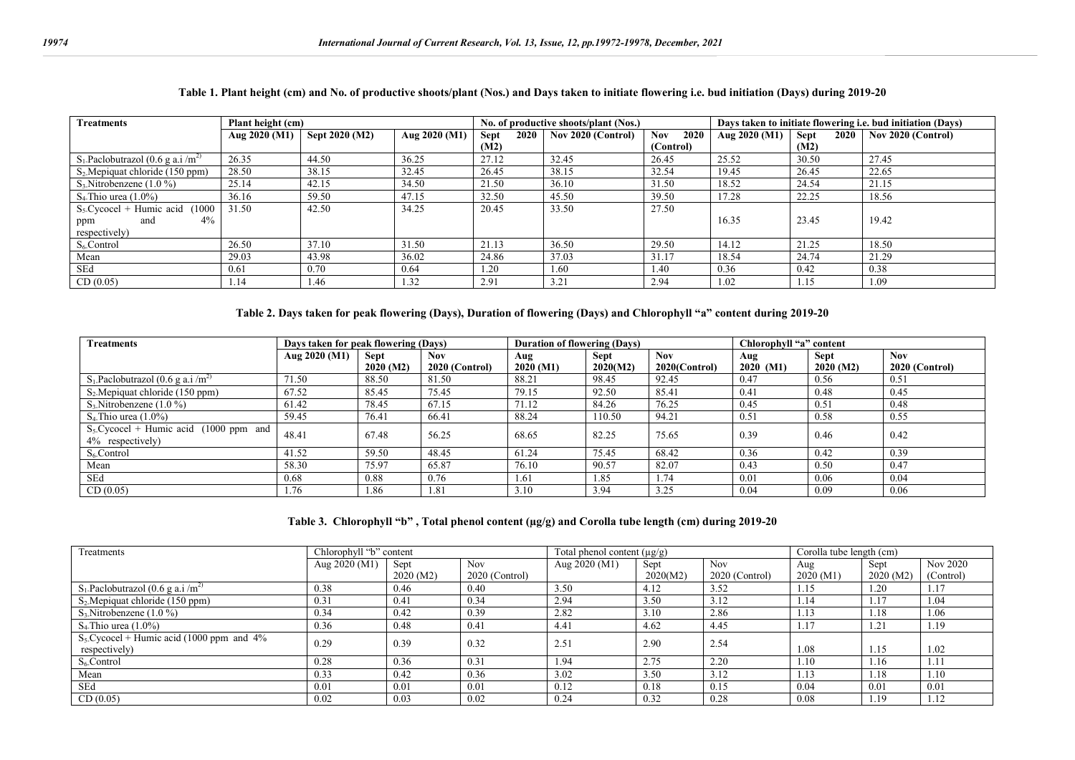| <b>Treatments</b>                                | Plant height (cm) |                |               |                     | No. of productive shoots/plant (Nos.) |              | Days taken to initiate flowering i.e. bud initiation (Days) |                     |                    |  |
|--------------------------------------------------|-------------------|----------------|---------------|---------------------|---------------------------------------|--------------|-------------------------------------------------------------|---------------------|--------------------|--|
|                                                  | Aug 2020 (M1)     | Sept 2020 (M2) | Aug 2020 (M1) | <b>Sept</b><br>2020 | Nov 2020 (Control)                    | 2020<br>Nov. | Aug $2020 (M1)$                                             | 2020<br><b>Sept</b> | Nov 2020 (Control) |  |
|                                                  |                   |                |               | (M2)                |                                       | (Control)    |                                                             | (M2)                |                    |  |
| $S_1$ -Paclobutrazol (0.6 g a.i /m <sup>2)</sup> | 26.35             | 44.50          | 36.25         | 27.12               | 32.45                                 | 26.45        | 25.52                                                       | 30.50               | 27.45              |  |
| $S_2$ . Mepiquat chloride (150 ppm)              | 28.50             | 38.15          | 32.45         | 26.45               | 38.15                                 | 32.54        | 19.45                                                       | 26.45               | 22.65              |  |
| $S_3$ . Nitrobenzene (1.0 %)                     | 25.14             | 42.15          | 34.50         | 21.50               | 36.10                                 | 31.50        | 18.52                                                       | 24.54               | 21.15              |  |
| $S_4$ Thio urea $(1.0\%)$                        | 36.16             | 59.50          | 47.15         | 32.50               | 45.50                                 | 39.50        | 17.28                                                       | 22.25               | 18.56              |  |
| $S_5$ Cycocel + Humic acid<br>(1000)             | 31.50             | 42.50          | 34.25         | 20.45               | 33.50                                 | 27.50        |                                                             |                     |                    |  |
| 4%<br>and<br>ppm                                 |                   |                |               |                     |                                       |              | 16.35                                                       | 23.45               | 19.42              |  |
| respectively)                                    |                   |                |               |                     |                                       |              |                                                             |                     |                    |  |
| S <sub>6</sub> Control                           | 26.50             | 37.10          | 31.50         | 21.13               | 36.50                                 | 29.50        | 14.12                                                       | 21.25               | 18.50              |  |
| Mean                                             | 29.03             | 43.98          | 36.02         | 24.86               | 37.03                                 | 31.17        | 18.54                                                       | 24.74               | 21.29              |  |
| SEd                                              | 0.61              | 0.70           | 0.64          | 1.20                | 1.60                                  | 1.40         | 0.36                                                        | 0.42                | 0.38               |  |
| CD(0.05)                                         | 1.14              | 1.46           | 1.32          | 2.91                | 3.21                                  | 2.94         | 1.02                                                        | 1.15                | 1.09               |  |

### **Table 1. Plant height (cm) and No. of productive shoots/plant (Nos.) and Days taken to initiate flowering i.e. bud initiation (Days) during 2019-20**

### **Table 2. Days taken for peak flowering (Days), Duration of flowering (Days) and Chlorophyll "a" content during 2019-20**

| <b>Treatments</b>                                            | Days taken for peak flowering (Days) |                   |                        | <b>Duration of flowering (Days)</b> |                         |                             | Chlorophyll "a" content |                   |                       |
|--------------------------------------------------------------|--------------------------------------|-------------------|------------------------|-------------------------------------|-------------------------|-----------------------------|-------------------------|-------------------|-----------------------|
|                                                              | Aug $2020$ (M1)                      | Sept<br>2020 (M2) | Nov.<br>2020 (Control) | Aug<br>2020 (M1)                    | <b>Sept</b><br>2020(M2) | <b>Nov</b><br>2020(Control) | Aug<br>$2020$ (M1)      | Sept<br>2020 (M2) | Nov<br>2020 (Control) |
| $S_1$ Paclobutrazol (0.6 g a.i /m <sup>2)</sup>              | 71.50                                | 88.50             | 81.50                  | 88.21                               | 98.45                   | 92.45                       | 0.47                    | 0.56              | 0.51                  |
| $S_2$ . Mepiquat chloride (150 ppm)                          | 67.52                                | 85.45             | 75.45                  | 79.15                               | 92.50                   | 85.41                       | 0.41                    | 0.48              | 0.45                  |
| $S_3$ . Nitrobenzene (1.0 %)                                 | 61.42                                | 78.45             | 67.15                  | 71.12                               | 84.26                   | 76.25                       | 0.45                    | 0.51              | 0.48                  |
| $S_4$ Thio urea $(1.0\%)$                                    | 59.45                                | 76.41             | 66.41                  | 88.24                               | 110.50                  | 94.21                       | 0.51                    | 0.58              | 0.55                  |
| $S_5$ Cycocel + Humic acid (1000 ppm and<br>4% respectively) | 48.41                                | 67.48             | 56.25                  | 68.65                               | 82.25                   | 75.65                       | 0.39                    | 0.46              | 0.42                  |
| $S_6$ Control                                                | 41.52                                | 59.50             | 48.45                  | 61.24                               | 75.45                   | 68.42                       | 0.36                    | 0.42              | 0.39                  |
| Mean                                                         | 58.30                                | 75.97             | 65.87                  | 76.10                               | 90.57                   | 82.07                       | 0.43                    | 0.50              | 0.47                  |
| SEd                                                          | 0.68                                 | 0.88              | 0.76                   | 1.61                                | 1.85                    | 1.74                        | 0.01                    | 0.06              | 0.04                  |
| CD(0.05)                                                     | 1.76                                 | 1.86              | 1.81                   | 3.10                                | 3.94                    | 3.25                        | 0.04                    | 0.09              | 0.06                  |

#### **Table 3. Chlorophyll "b" , Total phenol content (µg/g) and Corolla tube length (cm) during 2019-20**

| Treatments                                                   | Chlorophyll "b" content |           |                  | Total phenol content $(\mu g/g)$ |          |                  | Corolla tube length (cm) |           |           |
|--------------------------------------------------------------|-------------------------|-----------|------------------|----------------------------------|----------|------------------|--------------------------|-----------|-----------|
|                                                              | Aug 2020 (M1)           | Sept      | <b>Nov</b>       | Aug $2020 \, (M1)$               | Sept     | Nov.             | Aug                      | Sept      | Nov 2020  |
|                                                              |                         | 2020 (M2) | $2020$ (Control) |                                  | 2020(M2) | $2020$ (Control) | 2020(M1)                 | 2020 (M2) | (Control) |
| $S_1$ . Paclobutrazol (0.6 g a.i /m <sup>2)</sup>            | 0.38                    | 0.46      | 0.40             | 3.50                             | 4.12     | 3.52             | 1.15                     | 1.20      | 1.17      |
| $S_2$ . Mepiquat chloride (150 ppm)                          | 0.31                    | 0.41      | 0.34             | 2.94                             | 3.50     | 3.12             | 1.14                     | 1.17      | 1.04      |
| $S_3$ . Nitrobenzene (1.0 %)                                 | 0.34                    | 0.42      | 0.39             | 2.82                             | 3.10     | 2.86             | 1.13                     | 1.18      | 1.06      |
| $S_4$ Thio urea $(1.0\%)$                                    | 0.36                    | 0.48      | 0.41             | 4.41                             | 4.62     | 4.45             | $1.1^{\circ}$            | 1.21      | 1.19      |
| $S_5$ Cycocel + Humic acid (1000 ppm and 4%<br>respectively) | 0.29                    | 0.39      | 0.32             | 2.51                             | 2.90     | 2.54             | 1.08                     | 1.15      | 1.02      |
| $S_6$ Control                                                | 0.28                    | 0.36      | 0.31             | . 94                             | 2.75     | 2.20             | 1.10                     | 1.16      | 1.11      |
| Mean                                                         | 0.33                    | 0.42      | 0.36             | 3.02                             | 3.50     | 3.12             | 1.13                     | 1.18      | 1.10      |
| SEd                                                          | 0.01                    | 0.01      | 0.01             | 0.12                             | 0.18     | 0.15             | 0.04                     | 0.01      | 0.01      |
| CD(0.05)                                                     | 0.02                    | 0.03      | 0.02             | 0.24                             | 0.32     | 0.28             | 0.08                     | 1.19      | 1.12      |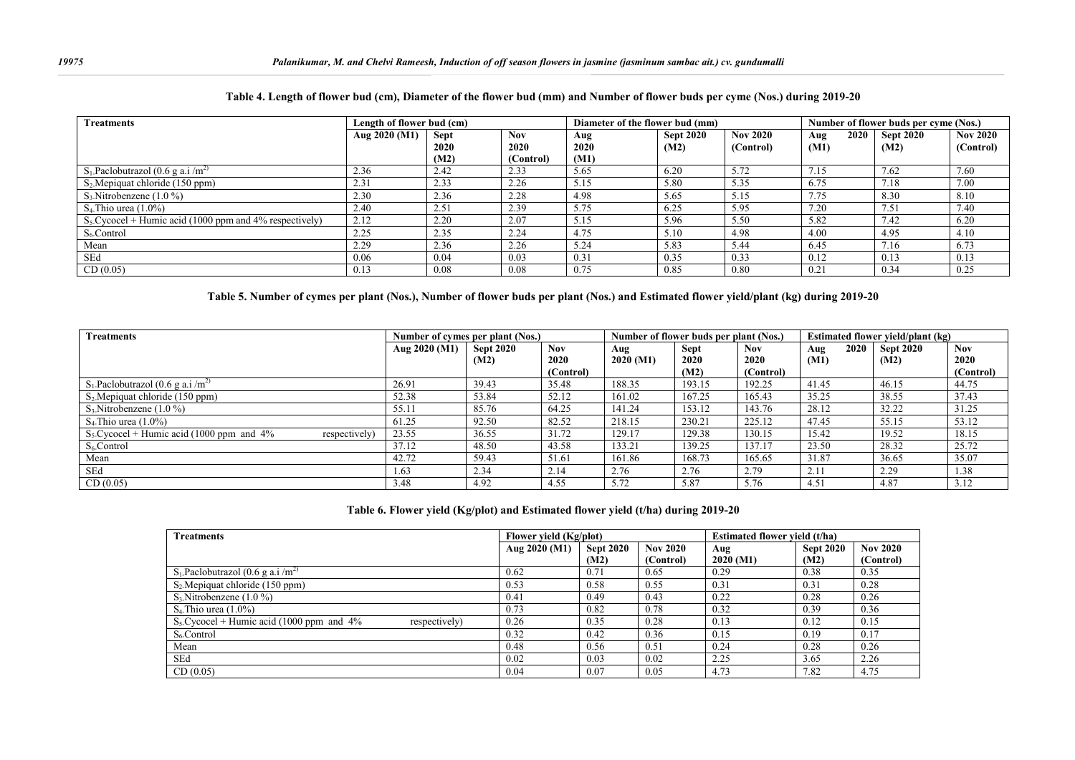| <b>Treatments</b>                                         | Length of flower bud (cm) |             |            | Diameter of the flower bud (mm) |                  |                 | Number of flower buds per cyme (Nos.) |                  |                 |
|-----------------------------------------------------------|---------------------------|-------------|------------|---------------------------------|------------------|-----------------|---------------------------------------|------------------|-----------------|
|                                                           | Aug 2020 (M1)             | <b>Sept</b> | <b>Nov</b> | Aug                             | <b>Sept 2020</b> | <b>Nov 2020</b> | 2020<br>Aug                           | <b>Sept 2020</b> | <b>Nov 2020</b> |
|                                                           |                           | 2020        | 2020       | 2020                            | (M2)             | (Control)       | (M1)                                  | (M2)             | (Control)       |
|                                                           |                           | (M2)        | (Control)  | (M1)                            |                  |                 |                                       |                  |                 |
| $S_1$ -Paclobutrazol (0.6 g a.i /m <sup>2)</sup>          | 2.36                      | 2.42        | 2.33       | 5.65                            | 6.20             | 5.72            | 7.15                                  | 7.62             | 7.60            |
| $S_2$ . Mepiquat chloride (150 ppm)                       | 2.31                      | 2.33        | 2.26       | 5.15                            | 5.80             | 5.35            | 6.75                                  | 7.18             | 7.00            |
| $S_3$ . Nitrobenzene (1.0 %)                              | 2.30                      | 2.36        | 2.28       | 4.98                            | 5.65             | 5.15            | 7.75                                  | 8.30             | 8.10            |
| $S_4$ Thio urea $(1.0\%)$                                 | 2.40                      | 2.51        | 2.39       | 5.75                            | 6.25             | 5.95            | 7.20                                  | 7.51             | 7.40            |
| $S_5$ Cycocel + Humic acid (1000 ppm and 4% respectively) | 2.12                      | 2.20        | 2.07       | 5.15                            | 5.96             | 5.50            | 5.82                                  | 7.42             | 6.20            |
| $S6$ Control                                              | 2.25                      | 2.35        | 2.24       | 4.75                            | 5.10             | 4.98            | 4.00                                  | 4.95             | 4.10            |
| Mean                                                      | 2.29                      | 2.36        | 2.26       | 5.24                            | 5.83             | 5.44            | 6.45                                  | 7.16             | 6.73            |
| SEd                                                       | 0.06                      | 0.04        | 0.03       | 0.31                            | 0.35             | 0.33            | 0.12                                  | 0.13             | 0.13            |
| CD(0.05)                                                  | 0.13                      | 0.08        | 0.08       | 0.75                            | 0.85             | 0.80            | 0.21                                  | 0.34             | 0.25            |

#### **Table 4. Length of flower bud (cm), Diameter of the flower bud (mm) and Number of flower buds per cyme (Nos.) during 2019-20**

#### **Table 5. Number of cymes per plant (Nos.), Number of flower buds per plant (Nos.) and Estimated flower yield/plant (kg) during 2019-20**

| <b>Treatments</b>                                            |               | Number of cymes per plant (Nos.) |              |                  | Number of flower buds per plant (Nos.) |                    | <b>Estimated flower yield/plant (kg)</b> |      |                          |             |
|--------------------------------------------------------------|---------------|----------------------------------|--------------|------------------|----------------------------------------|--------------------|------------------------------------------|------|--------------------------|-------------|
|                                                              | Aug 2020 (M1) | <b>Sept 2020</b><br>(M2)         | Nov.<br>2020 | Aug<br>2020 (M1) | <b>Sept</b><br>2020                    | <b>Nov</b><br>2020 | Aug<br>(M1)                              | 2020 | <b>Sept 2020</b><br>(M2) | Nov<br>2020 |
|                                                              |               |                                  | (Control)    |                  | (M2)                                   | (Control)          |                                          |      |                          | (Control)   |
| $S_1$ Paclobutrazol (0.6 g a.i /m <sup>2)</sup>              | 26.91         | 39.43                            | 35.48        | 188.35           | 193.15                                 | 192.25             | 41.45                                    |      | 46.15                    | 44.75       |
| $S_2$ . Mepiquat chloride (150 ppm)                          | 52.38         | 53.84                            | 52.12        | 161.02           | 167.25                                 | 165.43             | 35.25                                    |      | 38.55                    | 37.43       |
| $S_3$ . Nitrobenzene (1.0 %)                                 | 55.11         | 85.76                            | 64.25        | 141.24           | 153.12                                 | 143.76             | 28.12                                    |      | 32.22                    | 31.25       |
| $S_4$ Thio urea (1.0%)                                       | 61.25         | 92.50                            | 82.52        | 218.15           | 230.21                                 | 225.12             | 47.45                                    |      | 55.15                    | 53.12       |
| $S_5$ Cycocel + Humic acid (1000 ppm and 4%<br>respectively) | 23.55         | 36.55                            | 31.72        | 129.17           | 129.38                                 | 130.15             | 15.42                                    |      | 19.52                    | 18.15       |
| $S_6$ Control                                                | 37.12         | 48.50                            | 43.58        | 133.21           | 139.25                                 | 137.17             | 23.50                                    |      | 28.32                    | 25.72       |
| Mean                                                         | 42.72         | 59.43                            | 51.61        | 161.86           | 168.73                                 | 165.65             | 31.87                                    |      | 36.65                    | 35.07       |
| SEd                                                          | 1.63          | 2.34                             | 2.14         | 2.76             | 2.76                                   | 2.79               | 2.11                                     |      | 2.29                     | 1.38        |
| CD(0.05)                                                     | 3.48          | 4.92                             | 4.55         | 5.72             | 5.87                                   | 5.76               | 4.51                                     |      | 4.87                     | 3.12        |

#### **Table 6. Flower yield (Kg/plot) and Estimated flower yield (t/ha) during 2019-20**

| <b>Treatments</b>                                            | Flower yield (Kg/plot) |                          |                              |                  | Estimated flower vield (t/ha) |                              |  |  |
|--------------------------------------------------------------|------------------------|--------------------------|------------------------------|------------------|-------------------------------|------------------------------|--|--|
|                                                              | Aug 2020 (M1)          | <b>Sept 2020</b><br>(M2) | <b>Nov 2020</b><br>(Control) | Aug<br>2020 (M1) | <b>Sept 2020</b><br>(M2)      | <b>Nov 2020</b><br>(Control) |  |  |
| $S_1$ -Paclobutrazol (0.6 g a.i /m <sup>2)</sup>             | 0.62                   | 0.71                     | 0.65                         | 0.29             | 0.38                          | 0.35                         |  |  |
| $S_2$ . Mepiquat chloride (150 ppm)                          | 0.53                   | 0.58                     | 0.55                         | 0.31             | 0.31                          | 0.28                         |  |  |
| $S_3$ . Nitrobenzene (1.0 %)                                 | 0.41                   | 0.49                     | 0.43                         | 0.22             | 0.28                          | 0.26                         |  |  |
| $S_4$ Thio urea $(1.0\%)$                                    | 0.73                   | 0.82                     | 0.78                         | 0.32             | 0.39                          | 0.36                         |  |  |
| $S_5$ Cycocel + Humic acid (1000 ppm and 4%<br>respectively) | 0.26                   | 0.35                     | 0.28                         | 0.13             | 0.12                          | 0.15                         |  |  |
| $S_6$ Control                                                | 0.32                   | 0.42                     | 0.36                         | 0.15             | 0.19                          | 0.17                         |  |  |
| Mean                                                         | 0.48                   | 0.56                     | 0.51                         | 0.24             | 0.28                          | 0.26                         |  |  |
| SEd                                                          | 0.02                   | 0.03                     | 0.02                         | 2.25             | 3.65                          | 2.26                         |  |  |
| CD(0.05)                                                     | 0.04                   | 0.07                     | 0.05                         | 4.73             | 7.82                          | 4.75                         |  |  |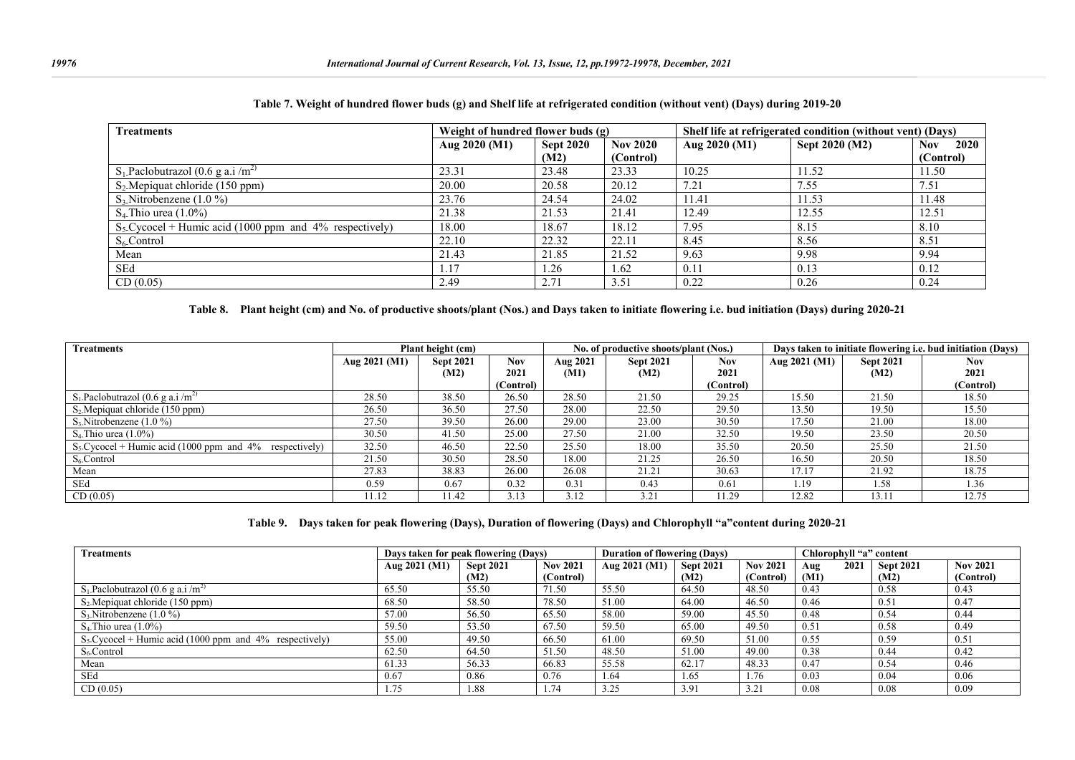| <b>Treatments</b>                                         | Weight of hundred flower buds (g) |                  |                 |               | Shelf life at refrigerated condition (without vent) (Days) |                    |
|-----------------------------------------------------------|-----------------------------------|------------------|-----------------|---------------|------------------------------------------------------------|--------------------|
|                                                           | Aug 2020 (M1)                     | <b>Sept 2020</b> | <b>Nov 2020</b> | Aug 2020 (M1) | Sept 2020 (M2)                                             | 2020<br><b>Nov</b> |
|                                                           |                                   | (M2)             | (Control)       |               |                                                            | (Control)          |
| $S_1$ Paclobutrazol (0.6 g a.i /m <sup>2)</sup>           | 23.31                             | 23.48            | 23.33           | 10.25         | 11.52                                                      | 11.50              |
| $S_2$ Mepiquat chloride (150 ppm)                         | 20.00                             | 20.58            | 20.12           | 7.21          | 7.55                                                       | 7.51               |
| $S_3$ . Nitrobenzene (1.0 %)                              | 23.76                             | 24.54            | 24.02           | 11.41         | 11.53                                                      | 11.48              |
| $S_4$ Thio urea $(1.0\%)$                                 | 21.38                             | 21.53            | 21.41           | 12.49         | 12.55                                                      | 12.51              |
| $S_5$ Cycocel + Humic acid (1000 ppm and 4% respectively) | 18.00                             | 18.67            | 18.12           | 7.95          | 8.15                                                       | 8.10               |
| $S_6$ Control                                             | 22.10                             | 22.32            | 22.11           | 8.45          | 8.56                                                       | 8.51               |
| Mean                                                      | 21.43                             | 21.85            | 21.52           | 9.63          | 9.98                                                       | 9.94               |
| SEd                                                       | 1.17                              | 1.26             | 1.62            | 0.11          | 0.13                                                       | 0.12               |
| CD(0.05)                                                  | 2.49                              | 2.71             | 3.51            | 0.22          | 0.26                                                       | 0.24               |

#### **Table 7. Weight of hundred flower buds (g) and Shelf life at refrigerated condition (without vent) (Days) during 2019-20**

**Table 8. Plant height (cm) and No. of productive shoots/plant (Nos.) and Days taken to initiate flowering i.e. bud initiation (Days) during 2020-21**

| <b>Treatments</b>                                         |               | Plant height (cm) |            |          | No. of productive shoots/plant (Nos.) |            |               |                  | Days taken to initiate flowering <i>i.e.</i> bud initiation (Days) |
|-----------------------------------------------------------|---------------|-------------------|------------|----------|---------------------------------------|------------|---------------|------------------|--------------------------------------------------------------------|
|                                                           | Aug 2021 (M1) | <b>Sept 2021</b>  | <b>Nov</b> | Aug 2021 | <b>Sept 2021</b>                      | <b>Nov</b> | Aug 2021 (M1) | <b>Sept 2021</b> | <b>Nov</b>                                                         |
|                                                           |               | (M2)              | 2021       | (M1)     | (M2)                                  | 2021       |               | (M2)             | 2021                                                               |
|                                                           |               |                   | (Control)  |          |                                       | (Control)  |               |                  | (Control)                                                          |
| $S_1$ Paclobutrazol (0.6 g a.i /m <sup>2)</sup>           | 28.50         | 38.50             | 26.50      | 28.50    | 21.50                                 | 29.25      | 15.50         | 21.50            | 18.50                                                              |
| $S_2$ . Mepiquat chloride (150 ppm)                       | 26.50         | 36.50             | 27.50      | 28.00    | 22.50                                 | 29.50      | 13.50         | 19.50            | 15.50                                                              |
| $S_3$ . Nitrobenzene (1.0 %)                              | 27.50         | 39.50             | 26.00      | 29.00    | 23.00                                 | 30.50      | 17.50         | 21.00            | 18.00                                                              |
| $S_4$ Thio urea $(1.0\%)$                                 | 30.50         | 41.50             | 25.00      | 27.50    | 21.00                                 | 32.50      | 19.50         | 23.50            | 20.50                                                              |
| $S_5$ Cycocel + Humic acid (1000 ppm and 4% respectively) | 32.50         | 46.50             | 22.50      | 25.50    | 18.00                                 | 35.50      | 20.50         | 25.50            | 21.50                                                              |
| $S_6$ Control                                             | 21.50         | 30.50             | 28.50      | 18.00    | 21.25                                 | 26.50      | 16.50         | 20.50            | 18.50                                                              |
| Mean                                                      | 27.83         | 38.83             | 26.00      | 26.08    | 21.21                                 | 30.63      | 17.17         | 21.92            | 18.75                                                              |
| SEd                                                       | 0.59          | 0.67              | 0.32       | 0.31     | 0.43                                  | 0.61       | l.19          | 1.58             | 1.36                                                               |
| CD(0.05)                                                  | 11.12         | 11.42             | 3.13       | 3.12     | 3.21                                  | 11.29      | 12.82         | 13.11            | 12.75                                                              |

**Table 9. Days taken for peak flowering (Days), Duration of flowering (Days) and Chlorophyll "a"content during 2020-21**

| <b>Treatments</b>                                           | Days taken for peak flowering (Days) |                  |                 | <b>Duration of flowering (Days)</b> |                  |                 | Chlorophyll "a" content |                  |                 |  |
|-------------------------------------------------------------|--------------------------------------|------------------|-----------------|-------------------------------------|------------------|-----------------|-------------------------|------------------|-----------------|--|
|                                                             | Aug 2021 (M1)                        | <b>Sept 2021</b> | <b>Nov 2021</b> | Aug 2021 (M1)                       | <b>Sept 2021</b> | <b>Nov 2021</b> | 2021<br>Aug             | <b>Sept 2021</b> | <b>Nov 2021</b> |  |
|                                                             |                                      | (M2)             | (Control)       |                                     | (M2)             | (Control)       | (M1)                    | (M2)             | (Control)       |  |
| $S_1$ -Paclobutrazol (0.6 g a.i /m <sup>2)</sup>            | 65.50                                | 55.50            | 71.50           | 55.50                               | 64.50            | 48.50           | 0.43                    | 0.58             | 0.43            |  |
| $S_2$ . Mepiquat chloride (150 ppm)                         | 68.50                                | 58.50            | 78.50           | 51.00                               | 64.00            | 46.50           | 0.46                    | 0.51             | 0.47            |  |
| $S_3$ . Nitrobenzene (1.0 %)                                | 57.00                                | 56.50            | 65.50           | 58.00                               | 59.00            | 45.50           | 0.48                    | 0.54             | 0.44            |  |
| $S_4$ Thio urea $(1.0\%)$                                   | 59.50                                | 53.50            | 67.50           | 59.50                               | 65.00            | 49.50           | 0.51                    | 0.58             | 0.49            |  |
| $S_5$ . Cycocel + Humic acid (1000 ppm and 4% respectively) | 55.00                                | 49.50            | 66.50           | 61.00                               | 69.50            | 51.00           | 0.55                    | 0.59             | 0.51            |  |
| $S6$ -Control                                               | 62.50                                | 64.50            | 51.50           | 48.50                               | 51.00            | 49.00           | 0.38                    | 0.44             | 0.42            |  |
| Mean                                                        | 61.33                                | 56.33            | 66.83           | 55.58                               | 62.17            | 48.33           | 0.47                    | 0.54             | 0.46            |  |
| SEd                                                         | 0.67                                 | 0.86             | 0.76            | 1.64                                | 1.65             | 1.76            | 0.03                    | 0.04             | 0.06            |  |
| CD(0.05)                                                    | 1.75                                 | 1.88             | 1.74            | 3.25                                | 3.91             | 3.21            | 0.08                    | 0.08             | 0.09            |  |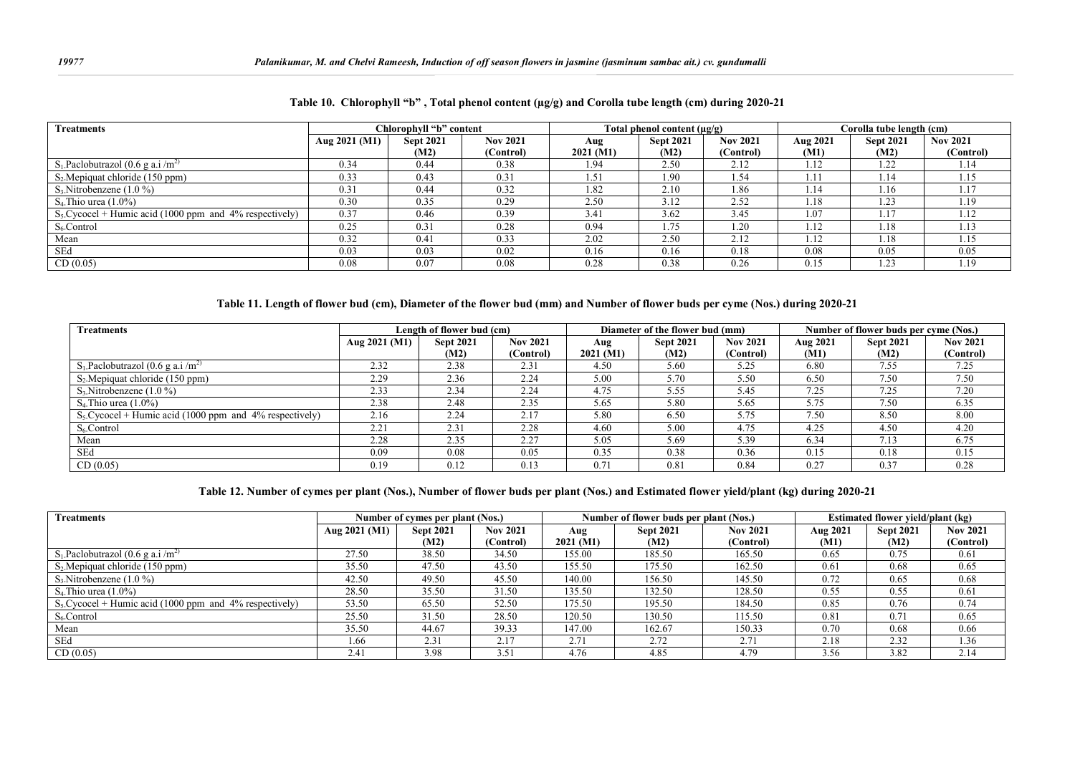| <b>Treatments</b>                                           |               | Chlorophyll "b" content |                 |          | Total phenol content $(\mu \mathbf{g}/\mathbf{g})$ |                 |          | Corolla tube length (cm) |                 |
|-------------------------------------------------------------|---------------|-------------------------|-----------------|----------|----------------------------------------------------|-----------------|----------|--------------------------|-----------------|
|                                                             | Aug 2021 (M1) | <b>Sept 2021</b>        | <b>Nov 2021</b> | Aug      | <b>Sept 2021</b>                                   | <b>Nov 2021</b> | Aug 2021 | <b>Sept 2021</b>         | <b>Nov 2021</b> |
|                                                             |               | (M2)                    | (Control)       | 2021(M1) | (M2)                                               | (Control)       | (M1)     | (M2)                     | (Control)       |
| $S_1$ Paclobutrazol (0.6 g a.i /m <sup>2)</sup>             | 0.34          | 0.44                    | 0.38            | 1.94     | 2.50                                               | 2.12            | 1.12     | 1.22                     | 1.14            |
| $S_2$ . Mepiquat chloride (150 ppm)                         | 0.33          | 0.43                    | 0.31            | 1.51     | 1.90                                               | 1.54            | 1.1      | 1.14                     | 1.15            |
| $S_3$ . Nitrobenzene (1.0 %)                                | 0.31          | 0.44                    | 0.32            | 1.82     | 2.10                                               | 1.86            | 1.14     | 1.16                     | 1.17            |
| $S_4$ Thio urea $(1.0\%)$                                   | 0.30          | 0.35                    | 0.29            | 2.50     | 3.12                                               | 2.52            | 1.18     | 1.23                     | 1.19            |
| $S_5$ . Cycocel + Humic acid (1000 ppm and 4% respectively) | 0.37          | 0.46                    | 0.39            | 3.41     | 3.62                                               | 3.45            | 1.07     | 1.17                     | 1.12            |
| $S6$ -Control                                               | 0.25          | 0.31                    | 0.28            | 0.94     | 1.75                                               | . .20           | 1.12     | 1.18                     | 1.13            |
| Mean                                                        | 0.32          | 0.41                    | 0.33            | 2.02     | 2.50                                               | 2.12            | 1.12     | 1.18                     | 1.15            |
| SEd                                                         | 0.03          | 0.03                    | 0.02            | 0.16     | 0.16                                               | 0.18            | 0.08     | 0.05                     | 0.05            |
| CD(0.05)                                                    | 0.08          | 0.07                    | 0.08            | 0.28     | 0.38                                               | 0.26            | 0.15     | 1.23                     | 1.19            |

**Table 10. Chlorophyll "b" , Total phenol content (µg/g) and Corolla tube length (cm) during 2020-21**

#### **Table 11. Length of flower bud (cm), Diameter of the flower bud (mm) and Number of flower buds per cyme (Nos.) during 2020-21**

| <b>Treatments</b>                                           |                 | Length of flower bud (cm) |                 |               | Diameter of the flower bud (mm) |                 | Number of flower buds per cyme (Nos.) |                  |                 |  |
|-------------------------------------------------------------|-----------------|---------------------------|-----------------|---------------|---------------------------------|-----------------|---------------------------------------|------------------|-----------------|--|
|                                                             | Aug $2021$ (M1) | <b>Sept 2021</b>          | <b>Nov 2021</b> | Aug           | <b>Sept 2021</b>                | <b>Nov 2021</b> | Aug 2021                              | <b>Sept 2021</b> | <b>Nov 2021</b> |  |
|                                                             |                 | (M2)                      | (Control)       | 2021 (M1)     | (M2)                            | (Control)       | (M1)                                  | (M2)             | (Control)       |  |
| $S_1$ -Paclobutrazol (0.6 g a.i /m <sup>2)</sup>            | 2.32            | 2.38                      | 2.3             | 4.50          | 5.60                            | 5.25            | 6.80                                  | 7.55             | 7.25            |  |
| $S_2$ . Mepiquat chloride (150 ppm)                         | 2.29            | 2.36                      | 2.24            | 5.00          | 5.70                            | 5.50            | 6.50                                  | 7.50             | 7.50            |  |
| $S_3$ . Nitrobenzene (1.0 %)                                | 2.33            | 2.34                      | 2.24            | 4.75          | 5.55                            | 5.45            | 7.25                                  | 7.25             | 7.20            |  |
| $S_4$ Thio urea $(1.0\%)$                                   | 2.38            | 2.48                      | 2.35            | 5.65          | 5.80                            | 5.65            | 5.75                                  | 7.50             | 6.35            |  |
| $S_5$ . Cycocel + Humic acid (1000 ppm and 4% respectively) | 2.16            | 2.24                      | 2.17            | 5.80          | 6.50                            | 5.75            | 7.50                                  | 8.50             | 8.00            |  |
| $S6$ -Control                                               | 2.21            | 2.31                      | 2.28            | 4.60          | 5.00                            | 4.75            | 4.25                                  | 4.50             | 4.20            |  |
| Mean                                                        | 2.28            | 2.35                      | 2.27            | 5.05          | 5.69                            | 5.39            | 6.34                                  | 7.13             | 6.75            |  |
| SEd                                                         | 0.09            | 0.08                      | 0.05            | 0.35          | 0.38                            | 0.36            | 0.15                                  | 0.18             | 0.15            |  |
| CD(0.05)                                                    | 0.19            | 0.12                      | 0.13            | $0.7^{\circ}$ | 0.81                            | 0.84            | 0.27                                  | 0.37             | 0.28            |  |

**Table 12. Number of cymes per plant (Nos.), Number of flower buds per plant (Nos.) and Estimated flower yield/plant (kg) during 2020-21**

| <b>Treatments</b>                                         |               | Number of cymes per plant (Nos.) |                 |          | Number of flower buds per plant (Nos.) |                 | Estimated flower yield/plant (kg) |                  |                 |
|-----------------------------------------------------------|---------------|----------------------------------|-----------------|----------|----------------------------------------|-----------------|-----------------------------------|------------------|-----------------|
|                                                           | Aug 2021 (M1) | <b>Sept 2021</b>                 | <b>Nov 2021</b> | Aug      | <b>Sept 2021</b>                       | <b>Nov 2021</b> | Aug 2021                          | <b>Sept 2021</b> | <b>Nov 2021</b> |
|                                                           |               | (M2)                             | (Control)       | 2021(M1) | (M2)                                   | (Control)       | (M1)                              | (M2)             | (Control)       |
| $S_1$ -Paclobutrazol (0.6 g a.i /m <sup>2)</sup>          | 27.50         | 38.50                            | 34.50           | 155.00   | 185.50                                 | 165.50          | 0.65                              | 0.75             | 0.61            |
| $S_2$ . Mepiquat chloride (150 ppm)                       | 35.50         | 47.50                            | 43.50           | 155.50   | 175.50                                 | 162.50          | 0.61                              | 0.68             | 0.65            |
| $S_3$ . Nitrobenzene (1.0 %)                              | 42.50         | 49.50                            | 45.50           | 140.00   | 156.50                                 | 145.50          | 0.72                              | 0.65             | 0.68            |
| $S_4$ Thio urea $(1.0\%)$                                 | 28.50         | 35.50                            | 31.50           | 135.50   | 132.50                                 | 128.50          | 0.55                              | 0.55             | 0.61            |
| $S_5$ Cycocel + Humic acid (1000 ppm and 4% respectively) | 53.50         | 65.50                            | 52.50           | 175.50   | 195.50                                 | 184.50          | 0.85                              | 0.76             | 0.74            |
| $S_6$ Control                                             | 25.50         | 31.50                            | 28.50           | 120.50   | 130.50                                 | 115.50          | 0.81                              | 0.71             | 0.65            |
| Mean                                                      | 35.50         | 44.67                            | 39.33           | 147.00   | 162.67                                 | 150.33          | 0.70                              | 0.68             | 0.66            |
| SEd                                                       | 1.66          | 2.31                             | 2.17            | 2.71     | 2.72                                   | 2.71            | 2.18                              | 2.32             | 1.36            |
| CD(0.05)                                                  | 2.41          | 3.98                             | 3.51            | 4.76     | 4.85                                   | 4.79            | 3.56                              | 3.82             | 2.14            |